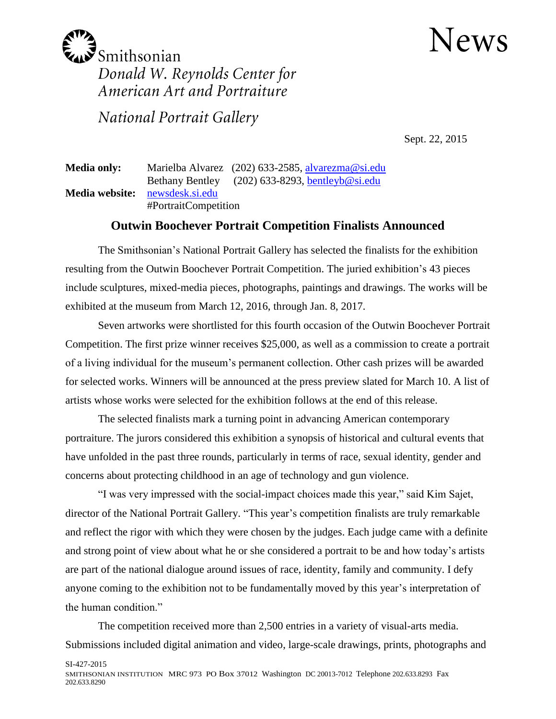## News



National Portrait Gallery

Sept. 22, 2015

**Media only:** Marielba Alvarez (202) 633-2585, [alvarezma@si.edu](mailto:alvarezma@si.edu) Bethany Bentley (202) 633-8293, [bentleyb@si.edu](mailto:bentleyb@si.edu) **Media website:** [newsdesk.si.edu](http://newsdesk.si.edu/) #PortraitCompetition

## **Outwin Boochever Portrait Competition Finalists Announced**

The Smithsonian's National Portrait Gallery has selected the finalists for the exhibition resulting from the Outwin Boochever Portrait Competition. The juried exhibition's 43 pieces include sculptures, mixed-media pieces, photographs, paintings and drawings. The works will be exhibited at the museum from March 12, 2016, through Jan. 8, 2017.

Seven artworks were shortlisted for this fourth occasion of the Outwin Boochever Portrait Competition. The first prize winner receives \$25,000, as well as a commission to create a portrait of a living individual for the museum's permanent collection. Other cash prizes will be awarded for selected works. Winners will be announced at the press preview slated for March 10. A list of artists whose works were selected for the exhibition follows at the end of this release.

The selected finalists mark a turning point in advancing American contemporary portraiture. The jurors considered this exhibition a synopsis of historical and cultural events that have unfolded in the past three rounds, particularly in terms of race, sexual identity, gender and concerns about protecting childhood in an age of technology and gun violence.

"I was very impressed with the social-impact choices made this year," said Kim Sajet, director of the National Portrait Gallery. "This year's competition finalists are truly remarkable and reflect the rigor with which they were chosen by the judges. Each judge came with a definite and strong point of view about what he or she considered a portrait to be and how today's artists are part of the national dialogue around issues of race, identity, family and community. I defy anyone coming to the exhibition not to be fundamentally moved by this year's interpretation of the human condition."

The competition received more than 2,500 entries in a variety of visual-arts media. Submissions included digital animation and video, large-scale drawings, prints, photographs and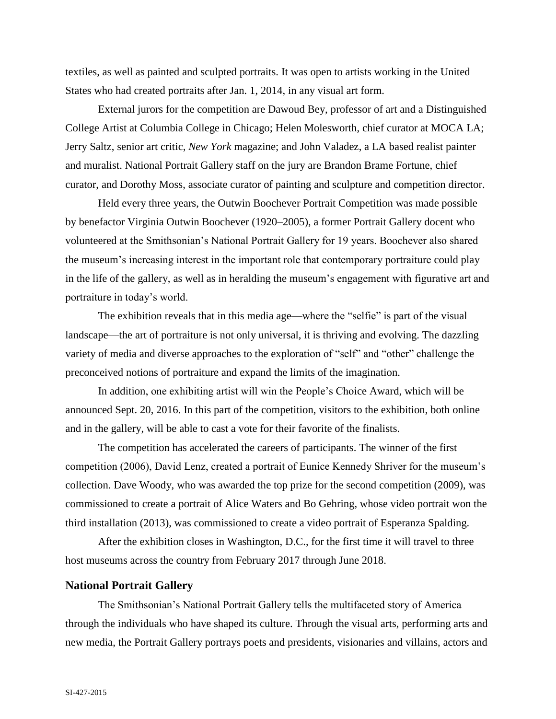textiles, as well as painted and sculpted portraits. It was open to artists working in the United States who had created portraits after Jan. 1, 2014, in any visual art form.

External jurors for the competition are Dawoud Bey, professor of art and a Distinguished College Artist at Columbia College in Chicago; Helen Molesworth, chief curator at MOCA LA; Jerry Saltz, senior art critic, *New York* magazine; and John Valadez, a LA based realist painter and muralist. National Portrait Gallery staff on the jury are Brandon Brame Fortune, chief curator, and Dorothy Moss, associate curator of painting and sculpture and competition director.

Held every three years, the Outwin Boochever Portrait Competition was made possible by benefactor Virginia Outwin Boochever (1920–2005), a former Portrait Gallery docent who volunteered at the Smithsonian's National Portrait Gallery for 19 years. Boochever also shared the museum's increasing interest in the important role that contemporary portraiture could play in the life of the gallery, as well as in heralding the museum's engagement with figurative art and portraiture in today's world.

The exhibition reveals that in this media age—where the "selfie" is part of the visual landscape—the art of portraiture is not only universal, it is thriving and evolving. The dazzling variety of media and diverse approaches to the exploration of "self" and "other" challenge the preconceived notions of portraiture and expand the limits of the imagination.

In addition, one exhibiting artist will win the People's Choice Award, which will be announced Sept. 20, 2016. In this part of the competition, visitors to the exhibition, both online and in the gallery, will be able to cast a vote for their favorite of the finalists.

The competition has accelerated the careers of participants. The winner of the first competition (2006), David Lenz, created a portrait of Eunice Kennedy Shriver for the museum's collection. Dave Woody, who was awarded the top prize for the second competition (2009), was commissioned to create a portrait of Alice Waters and Bo Gehring, whose video portrait won the third installation (2013), was commissioned to create a video portrait of Esperanza Spalding.

After the exhibition closes in Washington, D.C., for the first time it will travel to three host museums across the country from February 2017 through June 2018.

## **National Portrait Gallery**

The Smithsonian's National Portrait Gallery tells the multifaceted story of America through the individuals who have shaped its culture. Through the visual arts, performing arts and new media, the Portrait Gallery portrays poets and presidents, visionaries and villains, actors and